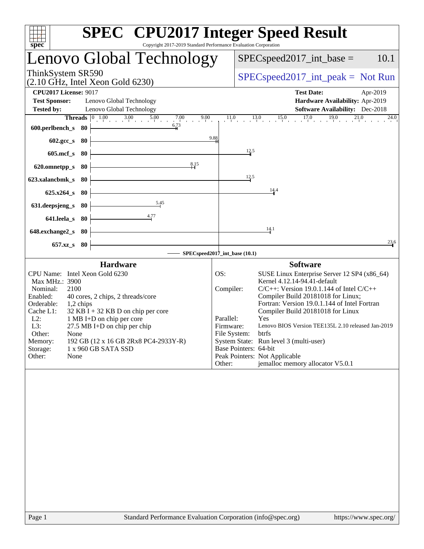| Copyright 2017-2019 Standard Performance Evaluation Corporation<br>spec <sup>®</sup>                                                                                                                                                                                                                                                                                                                                               | <b>SPEC<sup>®</sup></b> CPU2017 Integer Speed Result                                                                                                                                                                                                                                                                                                                                                                                                                                                                                                              |
|------------------------------------------------------------------------------------------------------------------------------------------------------------------------------------------------------------------------------------------------------------------------------------------------------------------------------------------------------------------------------------------------------------------------------------|-------------------------------------------------------------------------------------------------------------------------------------------------------------------------------------------------------------------------------------------------------------------------------------------------------------------------------------------------------------------------------------------------------------------------------------------------------------------------------------------------------------------------------------------------------------------|
| Lenovo Global Technology                                                                                                                                                                                                                                                                                                                                                                                                           | 10.1<br>$SPEC speed2017\_int\_base =$                                                                                                                                                                                                                                                                                                                                                                                                                                                                                                                             |
| ThinkSystem SR590<br>$(2.10 \text{ GHz}, \text{Intel Xeon Gold } 6230)$                                                                                                                                                                                                                                                                                                                                                            | $SPEC speed2017\_int\_peak = Not Run$                                                                                                                                                                                                                                                                                                                                                                                                                                                                                                                             |
| <b>CPU2017 License: 9017</b><br><b>Test Sponsor:</b><br>Lenovo Global Technology<br><b>Tested by:</b><br>Lenovo Global Technology                                                                                                                                                                                                                                                                                                  | <b>Test Date:</b><br>Apr-2019<br>Hardware Availability: Apr-2019<br><b>Software Availability:</b> Dec-2018                                                                                                                                                                                                                                                                                                                                                                                                                                                        |
| <b>Threads</b> $\begin{bmatrix} 0 & 1.00 & 3.00 & 5.00 & 7.00 \end{bmatrix}$<br>6.73<br>600.perlbench_s<br>80                                                                                                                                                                                                                                                                                                                      | $17.0$ $19.0$ $21.0$<br>11.0<br>$13.0$ $15.0$<br>24.0<br>9.88                                                                                                                                                                                                                                                                                                                                                                                                                                                                                                     |
| 80<br>$602 \text{.} \text{gcc}\text{.}$ s<br>$605$ .mcf $_s$<br>80                                                                                                                                                                                                                                                                                                                                                                 | 12.5                                                                                                                                                                                                                                                                                                                                                                                                                                                                                                                                                              |
| 8.15<br>620.omnetpp_s<br>80                                                                                                                                                                                                                                                                                                                                                                                                        |                                                                                                                                                                                                                                                                                                                                                                                                                                                                                                                                                                   |
| 623.xalancbmk_s<br>80<br>$625.x264$ s<br>80                                                                                                                                                                                                                                                                                                                                                                                        | 12.5<br>14.4                                                                                                                                                                                                                                                                                                                                                                                                                                                                                                                                                      |
| 5.45<br>631.deepsjeng_s<br>-80                                                                                                                                                                                                                                                                                                                                                                                                     |                                                                                                                                                                                                                                                                                                                                                                                                                                                                                                                                                                   |
| 641.leela s<br>80<br>648.exchange2_s<br>-80                                                                                                                                                                                                                                                                                                                                                                                        | 14.1                                                                                                                                                                                                                                                                                                                                                                                                                                                                                                                                                              |
| $657.xz$ <sub>S</sub><br>80                                                                                                                                                                                                                                                                                                                                                                                                        | $\frac{23}{1}$ <sup>6</sup><br>SPECspeed2017_int_base (10.1)                                                                                                                                                                                                                                                                                                                                                                                                                                                                                                      |
| <b>Hardware</b><br>CPU Name: Intel Xeon Gold 6230<br>Max MHz.: 3900<br>Nominal:<br>2100<br>Enabled:<br>40 cores, 2 chips, 2 threads/core<br>Orderable:<br>1,2 chips<br>$32$ KB I + 32 KB D on chip per core<br>Cache L1:<br>$L2$ :<br>1 MB I+D on chip per core<br>L3:<br>$27.5$ MB I+D on chip per chip<br>Other:<br>None<br>192 GB (12 x 16 GB 2Rx8 PC4-2933Y-R)<br>Memory:<br>Storage:<br>1 x 960 GB SATA SSD<br>Other:<br>None | <b>Software</b><br>OS:<br>SUSE Linux Enterprise Server 12 SP4 (x86_64)<br>Kernel 4.12.14-94.41-default<br>Compiler:<br>$C/C++$ : Version 19.0.1.144 of Intel $C/C++$<br>Compiler Build 20181018 for Linux;<br>Fortran: Version 19.0.1.144 of Intel Fortran<br>Compiler Build 20181018 for Linux<br>Parallel:<br>Yes<br>Lenovo BIOS Version TEE135L 2.10 released Jan-2019<br>Firmware:<br>File System:<br>btrfs<br>System State: Run level 3 (multi-user)<br>Base Pointers: 64-bit<br>Peak Pointers: Not Applicable<br>jemalloc memory allocator V5.0.1<br>Other: |
|                                                                                                                                                                                                                                                                                                                                                                                                                                    |                                                                                                                                                                                                                                                                                                                                                                                                                                                                                                                                                                   |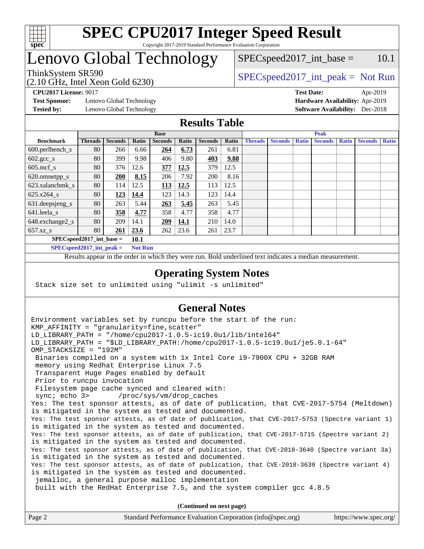

# Lenovo Global Technology

(2.10 GHz, Intel Xeon Gold 6230)

 $SPEC speed2017\_int\_base = 10.1$ 

## ThinkSystem SR590<br>  $SPEC speed2017\_int\_peak = Not Run$

**[Test Sponsor:](http://www.spec.org/auto/cpu2017/Docs/result-fields.html#TestSponsor)** Lenovo Global Technology **[Hardware Availability:](http://www.spec.org/auto/cpu2017/Docs/result-fields.html#HardwareAvailability)** Apr-2019 **[Tested by:](http://www.spec.org/auto/cpu2017/Docs/result-fields.html#Testedby)** Lenovo Global Technology **[Software Availability:](http://www.spec.org/auto/cpu2017/Docs/result-fields.html#SoftwareAvailability)** Dec-2018

**[CPU2017 License:](http://www.spec.org/auto/cpu2017/Docs/result-fields.html#CPU2017License)** 9017 **[Test Date:](http://www.spec.org/auto/cpu2017/Docs/result-fields.html#TestDate)** Apr-2019

#### **[Results Table](http://www.spec.org/auto/cpu2017/Docs/result-fields.html#ResultsTable)**

|                                      | <b>Base</b>    |                |       |                | <b>Peak</b> |                |       |                |                |              |                |              |                |              |
|--------------------------------------|----------------|----------------|-------|----------------|-------------|----------------|-------|----------------|----------------|--------------|----------------|--------------|----------------|--------------|
| <b>Benchmark</b>                     | <b>Threads</b> | <b>Seconds</b> | Ratio | <b>Seconds</b> | Ratio       | <b>Seconds</b> | Ratio | <b>Threads</b> | <b>Seconds</b> | <b>Ratio</b> | <b>Seconds</b> | <b>Ratio</b> | <b>Seconds</b> | <b>Ratio</b> |
| $600.$ perlbench_s                   | 80             | 266            | 6.66  | 264            | 6.73        | 261            | 6.81  |                |                |              |                |              |                |              |
| $602 \text{.} \text{gcc}\text{_<}$ s | 80             | 399            | 9.98  | 406            | 9.80        | 403            | 9.88  |                |                |              |                |              |                |              |
| $605$ .mcf s                         | 80             | 376            | 12.6  | 377            | 12.5        | 379            | 12.5  |                |                |              |                |              |                |              |
| 620.omnetpp_s                        | 80             | 200            | 8.15  | 206            | 7.92        | 200            | 8.16  |                |                |              |                |              |                |              |
| 623.xalancbmk s                      | 80             | 114            | 12.5  | <u>113</u>     | 12.5        | 113            | 12.5  |                |                |              |                |              |                |              |
| 625.x264 s                           | 80             | 123            | 14.4  | 123            | 14.3        | 123            | 14.4  |                |                |              |                |              |                |              |
| 631.deepsjeng_s                      | 80             | 263            | 5.44  | 263            | 5.45        | 263            | 5.45  |                |                |              |                |              |                |              |
| 641.leela_s                          | 80             | 358            | 4.77  | 358            | 4.77        | 358            | 4.77  |                |                |              |                |              |                |              |
| 648.exchange2_s                      | 80             | 209            | 14.1  | 209            | <u>14.1</u> | 210            | 14.0  |                |                |              |                |              |                |              |
| $657.xz$ s                           | 80             | 261            | 23.6  | 262            | 23.6        | 261            | 23.7  |                |                |              |                |              |                |              |
| $SPECspeed2017$ int base =           |                |                | 10.1  |                |             |                |       |                |                |              |                |              |                |              |

**[SPECspeed2017\\_int\\_peak =](http://www.spec.org/auto/cpu2017/Docs/result-fields.html#SPECspeed2017intpeak) Not Run**

Results appear in the [order in which they were run.](http://www.spec.org/auto/cpu2017/Docs/result-fields.html#RunOrder) Bold underlined text [indicates a median measurement.](http://www.spec.org/auto/cpu2017/Docs/result-fields.html#Median)

#### **[Operating System Notes](http://www.spec.org/auto/cpu2017/Docs/result-fields.html#OperatingSystemNotes)**

Stack size set to unlimited using "ulimit -s unlimited"

### **[General Notes](http://www.spec.org/auto/cpu2017/Docs/result-fields.html#GeneralNotes)**

Environment variables set by runcpu before the start of the run: KMP AFFINITY = "granularity=fine, scatter" LD\_LIBRARY\_PATH = "/home/cpu2017-1.0.5-ic19.0u1/lib/intel64" LD\_LIBRARY\_PATH = "\$LD\_LIBRARY\_PATH:/home/cpu2017-1.0.5-ic19.0u1/je5.0.1-64" OMP\_STACKSIZE = "192M" Binaries compiled on a system with 1x Intel Core i9-7900X CPU + 32GB RAM memory using Redhat Enterprise Linux 7.5 Transparent Huge Pages enabled by default Prior to runcpu invocation Filesystem page cache synced and cleared with: sync; echo 3> /proc/sys/vm/drop\_caches Yes: The test sponsor attests, as of date of publication, that CVE-2017-5754 (Meltdown) is mitigated in the system as tested and documented. Yes: The test sponsor attests, as of date of publication, that CVE-2017-5753 (Spectre variant 1) is mitigated in the system as tested and documented. Yes: The test sponsor attests, as of date of publication, that CVE-2017-5715 (Spectre variant 2) is mitigated in the system as tested and documented. Yes: The test sponsor attests, as of date of publication, that CVE-2018-3640 (Spectre variant 3a) is mitigated in the system as tested and documented. Yes: The test sponsor attests, as of date of publication, that CVE-2018-3639 (Spectre variant 4) is mitigated in the system as tested and documented. jemalloc, a general purpose malloc implementation built with the RedHat Enterprise 7.5, and the system compiler gcc 4.8.5 **(Continued on next page)**

| Standard Performance Evaluation Corporation (info@spec.org)<br>Page 2 | https://www.spec.org/ |
|-----------------------------------------------------------------------|-----------------------|
|-----------------------------------------------------------------------|-----------------------|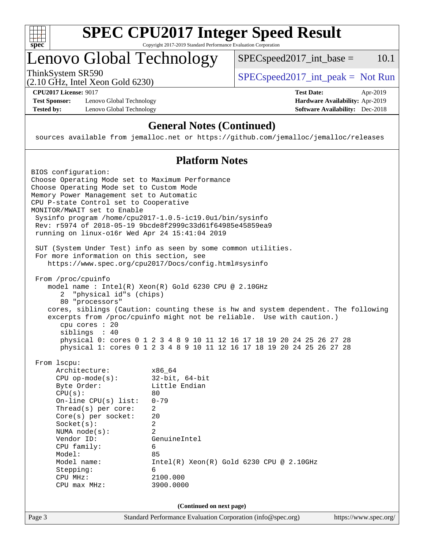

# **[SPEC CPU2017 Integer Speed Result](http://www.spec.org/auto/cpu2017/Docs/result-fields.html#SPECCPU2017IntegerSpeedResult)**

Copyright 2017-2019 Standard Performance Evaluation Corporation

# Lenovo Global Technology

ThinkSystem SR590<br>  $(2.10 \text{ GHz. Intel Yoon Gold } 6230)$  [SPECspeed2017\\_int\\_peak =](http://www.spec.org/auto/cpu2017/Docs/result-fields.html#SPECspeed2017intpeak) Not Run

 $SPECspeed2017\_int\_base =$  10.1

(2.10 GHz, Intel Xeon Gold 6230)

**[CPU2017 License:](http://www.spec.org/auto/cpu2017/Docs/result-fields.html#CPU2017License)** 9017 **[Test Date:](http://www.spec.org/auto/cpu2017/Docs/result-fields.html#TestDate)** Apr-2019

**[Test Sponsor:](http://www.spec.org/auto/cpu2017/Docs/result-fields.html#TestSponsor)** Lenovo Global Technology **[Hardware Availability:](http://www.spec.org/auto/cpu2017/Docs/result-fields.html#HardwareAvailability)** Apr-2019 [Tested by:](http://www.spec.org/auto/cpu2017/Docs/result-fields.html#Testedby) Lenovo Global Technology **[Software Availability:](http://www.spec.org/auto/cpu2017/Docs/result-fields.html#SoftwareAvailability)** Dec-2018

### **[General Notes \(Continued\)](http://www.spec.org/auto/cpu2017/Docs/result-fields.html#GeneralNotes)**

sources available from jemalloc.net or <https://github.com/jemalloc/jemalloc/releases>

#### **[Platform Notes](http://www.spec.org/auto/cpu2017/Docs/result-fields.html#PlatformNotes)**

| BIOS configuration:<br>Choose Operating Mode set to Maximum Performance<br>Choose Operating Mode set to Custom Mode<br>Memory Power Management set to Automatic<br>CPU P-state Control set to Cooperative<br>MONITOR/MWAIT set to Enable<br>running on linux-ol6r Wed Apr 24 15:41:04 2019         | Sysinfo program /home/cpu2017-1.0.5-ic19.0ul/bin/sysinfo<br>Rev: r5974 of 2018-05-19 9bcde8f2999c33d61f64985e45859ea9                                                                                                                                                                                                                                                   |                       |
|----------------------------------------------------------------------------------------------------------------------------------------------------------------------------------------------------------------------------------------------------------------------------------------------------|-------------------------------------------------------------------------------------------------------------------------------------------------------------------------------------------------------------------------------------------------------------------------------------------------------------------------------------------------------------------------|-----------------------|
| For more information on this section, see                                                                                                                                                                                                                                                          | SUT (System Under Test) info as seen by some common utilities.<br>https://www.spec.org/cpu2017/Docs/config.html#sysinfo                                                                                                                                                                                                                                                 |                       |
| From /proc/cpuinfo<br>"physical id"s (chips)<br>2<br>80 "processors"<br>cpu cores $: 20$<br>siblings : 40                                                                                                                                                                                          | model name: Intel(R) Xeon(R) Gold 6230 CPU @ 2.10GHz<br>cores, siblings (Caution: counting these is hw and system dependent. The following<br>excerpts from /proc/cpuinfo might not be reliable. Use with caution.)<br>physical 0: cores 0 1 2 3 4 8 9 10 11 12 16 17 18 19 20 24 25 26 27 28<br>physical 1: cores 0 1 2 3 4 8 9 10 11 12 16 17 18 19 20 24 25 26 27 28 |                       |
| From 1scpu:<br>Architecture:<br>$CPU$ op-mode( $s$ ):<br>Byte Order:<br>CPU(s):<br>$On$ -line CPU $(s)$ list:<br>Thread(s) per core:<br>$Core(s)$ per socket:<br>Socket(s):<br>NUMA $node(s):$<br>Vendor ID:<br>CPU family:<br>Model:<br>Model name:<br>Stepping:<br>CPU MHz:<br>$CPU$ max $MHz$ : | x86 64<br>$32$ -bit, $64$ -bit<br>Little Endian<br>80<br>$0 - 79$<br>$\overline{2}$<br>20<br>2<br>$\overline{2}$<br>GenuineIntel<br>6<br>85<br>$Intel(R)$ Xeon $(R)$ Gold 6230 CPU @ 2.10GHz<br>6<br>2100.000<br>3900.0000                                                                                                                                              |                       |
| Page 3                                                                                                                                                                                                                                                                                             | (Continued on next page)<br>Standard Performance Evaluation Corporation (info@spec.org)                                                                                                                                                                                                                                                                                 | https://www.spec.org/ |
|                                                                                                                                                                                                                                                                                                    |                                                                                                                                                                                                                                                                                                                                                                         |                       |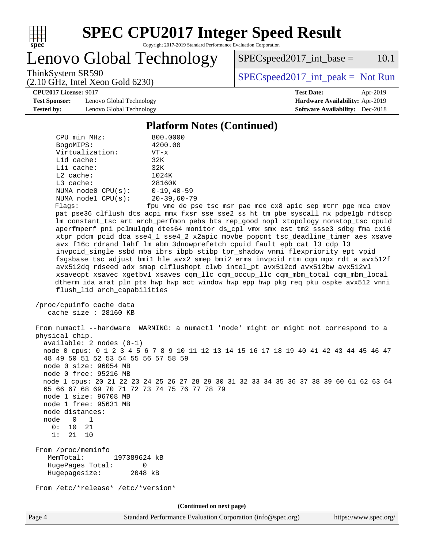

# **[SPEC CPU2017 Integer Speed Result](http://www.spec.org/auto/cpu2017/Docs/result-fields.html#SPECCPU2017IntegerSpeedResult)**

Copyright 2017-2019 Standard Performance Evaluation Corporation

Lenovo Global Technology

 $SPECspeed2017\_int\_base =$  10.1

(2.10 GHz, Intel Xeon Gold 6230)

ThinkSystem SR590<br>  $(2.10 \text{ GHz. Intel Yoon Gold } 6230)$  [SPECspeed2017\\_int\\_peak =](http://www.spec.org/auto/cpu2017/Docs/result-fields.html#SPECspeed2017intpeak) Not Run

**[Test Sponsor:](http://www.spec.org/auto/cpu2017/Docs/result-fields.html#TestSponsor)** Lenovo Global Technology **[Hardware Availability:](http://www.spec.org/auto/cpu2017/Docs/result-fields.html#HardwareAvailability)** Apr-2019 **[Tested by:](http://www.spec.org/auto/cpu2017/Docs/result-fields.html#Testedby)** Lenovo Global Technology **[Software Availability:](http://www.spec.org/auto/cpu2017/Docs/result-fields.html#SoftwareAvailability)** Dec-2018

# **[CPU2017 License:](http://www.spec.org/auto/cpu2017/Docs/result-fields.html#CPU2017License)** 9017 **[Test Date:](http://www.spec.org/auto/cpu2017/Docs/result-fields.html#TestDate)** Apr-2019

#### **[Platform Notes \(Continued\)](http://www.spec.org/auto/cpu2017/Docs/result-fields.html#PlatformNotes)**

| CPU min MHz:                                                                                                                                                                                                                                                                                                                  | 800.0000                                                                                                                                                                                                                                                                  |
|-------------------------------------------------------------------------------------------------------------------------------------------------------------------------------------------------------------------------------------------------------------------------------------------------------------------------------|---------------------------------------------------------------------------------------------------------------------------------------------------------------------------------------------------------------------------------------------------------------------------|
| BogoMIPS:<br>Virtualization:                                                                                                                                                                                                                                                                                                  | 4200.00<br>$VT - x$                                                                                                                                                                                                                                                       |
| L1d cache:                                                                                                                                                                                                                                                                                                                    | 32K                                                                                                                                                                                                                                                                       |
| Lli cache:                                                                                                                                                                                                                                                                                                                    | 32K                                                                                                                                                                                                                                                                       |
| $L2$ cache:                                                                                                                                                                                                                                                                                                                   | 1024K                                                                                                                                                                                                                                                                     |
| L3 cache:                                                                                                                                                                                                                                                                                                                     | 28160K                                                                                                                                                                                                                                                                    |
| NUMA $node0$ $CPU(s)$ :                                                                                                                                                                                                                                                                                                       | $0 - 19, 40 - 59$                                                                                                                                                                                                                                                         |
| NUMA nodel $CPU(s):$                                                                                                                                                                                                                                                                                                          | $20 - 39,60 - 79$                                                                                                                                                                                                                                                         |
| Flags:                                                                                                                                                                                                                                                                                                                        | fpu vme de pse tsc msr pae mce cx8 apic sep mtrr pge mca cmov                                                                                                                                                                                                             |
|                                                                                                                                                                                                                                                                                                                               | pat pse36 clflush dts acpi mmx fxsr sse sse2 ss ht tm pbe syscall nx pdpelgb rdtscp                                                                                                                                                                                       |
|                                                                                                                                                                                                                                                                                                                               | lm constant_tsc art arch_perfmon pebs bts rep_good nopl xtopology nonstop_tsc cpuid                                                                                                                                                                                       |
|                                                                                                                                                                                                                                                                                                                               | aperfmperf pni pclmulqdq dtes64 monitor ds_cpl vmx smx est tm2 ssse3 sdbg fma cx16                                                                                                                                                                                        |
|                                                                                                                                                                                                                                                                                                                               | xtpr pdcm pcid dca sse4_1 sse4_2 x2apic movbe popcnt tsc_deadline_timer aes xsave                                                                                                                                                                                         |
|                                                                                                                                                                                                                                                                                                                               | avx f16c rdrand lahf_lm abm 3dnowprefetch cpuid_fault epb cat_13 cdp_13                                                                                                                                                                                                   |
|                                                                                                                                                                                                                                                                                                                               | invpcid_single ssbd mba ibrs ibpb stibp tpr_shadow vnmi flexpriority ept vpid<br>fsgsbase tsc_adjust bmil hle avx2 smep bmi2 erms invpcid rtm cqm mpx rdt_a avx512f                                                                                                       |
|                                                                                                                                                                                                                                                                                                                               | avx512dq rdseed adx smap clflushopt clwb intel_pt avx512cd avx512bw avx512vl                                                                                                                                                                                              |
|                                                                                                                                                                                                                                                                                                                               | xsaveopt xsavec xgetbvl xsaves cqm_llc cqm_occup_llc cqm_mbm_total cqm_mbm_local                                                                                                                                                                                          |
|                                                                                                                                                                                                                                                                                                                               | dtherm ida arat pln pts hwp hwp act window hwp epp hwp pkq req pku ospke avx512 vnni                                                                                                                                                                                      |
| flush_l1d arch_capabilities                                                                                                                                                                                                                                                                                                   |                                                                                                                                                                                                                                                                           |
|                                                                                                                                                                                                                                                                                                                               |                                                                                                                                                                                                                                                                           |
| /proc/cpuinfo cache data                                                                                                                                                                                                                                                                                                      |                                                                                                                                                                                                                                                                           |
| cache size $: 28160$ KB                                                                                                                                                                                                                                                                                                       |                                                                                                                                                                                                                                                                           |
| physical chip.<br>$available: 2 nodes (0-1)$<br>48 49 50 51 52 53 54 55 56 57 58 59<br>node 0 size: 96054 MB<br>node 0 free: 95216 MB<br>65 66 67 68 69 70 71 72 73 74 75 76 77 78 79<br>node 1 size: 96708 MB<br>node 1 free: 95631 MB<br>node distances:<br>node<br>$\overline{0}$<br>1<br>0:<br>10<br>21<br>1:<br>21<br>10 | From numactl --hardware WARNING: a numactl 'node' might or might not correspond to a<br>node 0 cpus: 0 1 2 3 4 5 6 7 8 9 10 11 12 13 14 15 16 17 18 19 40 41 42 43 44 45 46 47<br>node 1 cpus: 20 21 22 23 24 25 26 27 28 29 30 31 32 33 34 35 36 37 38 39 60 61 62 63 64 |
| From /proc/meminfo<br>MemTotal:<br>197389624 kB<br>HugePages_Total:<br>0<br>Hugepagesize:<br>2048 kB                                                                                                                                                                                                                          |                                                                                                                                                                                                                                                                           |
| From /etc/*release* /etc/*version*                                                                                                                                                                                                                                                                                            |                                                                                                                                                                                                                                                                           |
|                                                                                                                                                                                                                                                                                                                               | (Continued on next page)                                                                                                                                                                                                                                                  |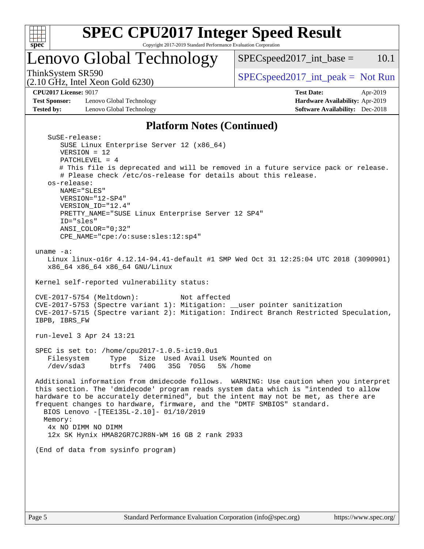

# Lenovo Global Technology

ThinkSystem SR590<br>  $SPEC speed2017\_int\_peak = Not Run$ 

 $SPEC speed2017\_int\_base = 10.1$ 

(2.10 GHz, Intel Xeon Gold 6230)

**[Test Sponsor:](http://www.spec.org/auto/cpu2017/Docs/result-fields.html#TestSponsor)** Lenovo Global Technology **[Hardware Availability:](http://www.spec.org/auto/cpu2017/Docs/result-fields.html#HardwareAvailability)** Apr-2019 **[Tested by:](http://www.spec.org/auto/cpu2017/Docs/result-fields.html#Testedby)** Lenovo Global Technology **[Software Availability:](http://www.spec.org/auto/cpu2017/Docs/result-fields.html#SoftwareAvailability)** Dec-2018

**[CPU2017 License:](http://www.spec.org/auto/cpu2017/Docs/result-fields.html#CPU2017License)** 9017 **[Test Date:](http://www.spec.org/auto/cpu2017/Docs/result-fields.html#TestDate)** Apr-2019

#### **[Platform Notes \(Continued\)](http://www.spec.org/auto/cpu2017/Docs/result-fields.html#PlatformNotes)**

```
 SuSE-release:
      SUSE Linux Enterprise Server 12 (x86_64)
      VERSION = 12
      PATCHLEVEL = 4
      # This file is deprecated and will be removed in a future service pack or release.
      # Please check /etc/os-release for details about this release.
   os-release:
      NAME="SLES"
      VERSION="12-SP4"
      VERSION_ID="12.4"
      PRETTY_NAME="SUSE Linux Enterprise Server 12 SP4"
      ID="sles"
      ANSI_COLOR="0;32"
      CPE_NAME="cpe:/o:suse:sles:12:sp4"
uname -a:
  Linux linux-o16r 4.12.14-94.41-default #1 SMP Wed Oct 31 12:25:04 UTC 2018 (3090901)
   x86_64 x86_64 x86_64 GNU/Linux
Kernel self-reported vulnerability status:
CVE-2017-5754 (Meltdown): Not affected
CVE-2017-5753 (Spectre variant 1): Mitigation: __user pointer sanitization
CVE-2017-5715 (Spectre variant 2): Mitigation: Indirect Branch Restricted Speculation,
IBPB, IBRS_FW
run-level 3 Apr 24 13:21
SPEC is set to: /home/cpu2017-1.0.5-ic19.0u1
   Filesystem Type Size Used Avail Use% Mounted on
   /dev/sda3 btrfs 740G 35G 705G 5% /home
Additional information from dmidecode follows. WARNING: Use caution when you interpret
this section. The 'dmidecode' program reads system data which is "intended to allow
hardware to be accurately determined", but the intent may not be met, as there are
frequent changes to hardware, firmware, and the "DMTF SMBIOS" standard.
  BIOS Lenovo -[TEE135L-2.10]- 01/10/2019
 Memory:
   4x NO DIMM NO DIMM
   12x SK Hynix HMA82GR7CJR8N-WM 16 GB 2 rank 2933
(End of data from sysinfo program)
```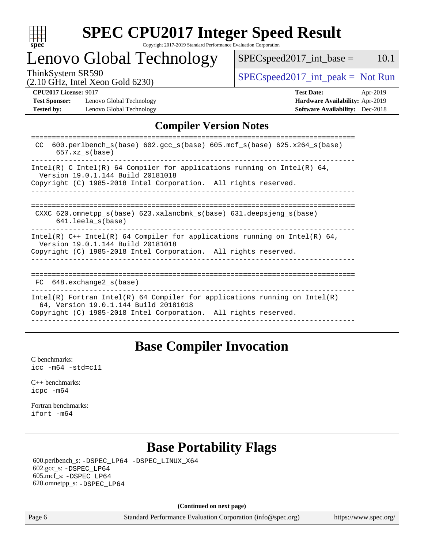

# Lenovo Global Technology

 $SPEC speed2017\_int\_base = 10.1$ 

(2.10 GHz, Intel Xeon Gold 6230)

ThinkSystem SR590<br>  $(2.10 \text{ GHz. Intel Yoon Gold } 6230)$  [SPECspeed2017\\_int\\_peak =](http://www.spec.org/auto/cpu2017/Docs/result-fields.html#SPECspeed2017intpeak) Not Run

**[Test Sponsor:](http://www.spec.org/auto/cpu2017/Docs/result-fields.html#TestSponsor)** Lenovo Global Technology **[Hardware Availability:](http://www.spec.org/auto/cpu2017/Docs/result-fields.html#HardwareAvailability)** Apr-2019 **[Tested by:](http://www.spec.org/auto/cpu2017/Docs/result-fields.html#Testedby)** Lenovo Global Technology **[Software Availability:](http://www.spec.org/auto/cpu2017/Docs/result-fields.html#SoftwareAvailability)** Dec-2018

**[CPU2017 License:](http://www.spec.org/auto/cpu2017/Docs/result-fields.html#CPU2017License)** 9017 **[Test Date:](http://www.spec.org/auto/cpu2017/Docs/result-fields.html#TestDate)** Apr-2019

### **[Compiler Version Notes](http://www.spec.org/auto/cpu2017/Docs/result-fields.html#CompilerVersionNotes)**

| 600.perlbench $s(base)$ 602.qcc $s(base)$ 605.mcf $s(base)$ 625.x264 $s(base)$<br>CC.<br>$657$ .xz $s(base)$                                                                           |
|----------------------------------------------------------------------------------------------------------------------------------------------------------------------------------------|
| Intel(R) C Intel(R) 64 Compiler for applications running on Intel(R) 64,<br>Version 19.0.1.144 Build 20181018<br>Copyright (C) 1985-2018 Intel Corporation. All rights reserved.       |
| CXXC 620.omnetpp $s(base)$ 623.xalancbmk $s(base)$ 631.deepsjeng $s(base)$<br>$641.$ leela $s(base)$                                                                                   |
| Intel(R) $C++$ Intel(R) 64 Compiler for applications running on Intel(R) 64,<br>Version 19.0.1.144 Build 20181018<br>Copyright (C) 1985-2018 Intel Corporation. All rights reserved.   |
| FC 648. exchange2 s(base)                                                                                                                                                              |
| Intel(R) Fortran Intel(R) 64 Compiler for applications running on Intel(R)<br>64, Version 19.0.1.144 Build 20181018<br>Copyright (C) 1985-2018 Intel Corporation. All rights reserved. |
|                                                                                                                                                                                        |

## **[Base Compiler Invocation](http://www.spec.org/auto/cpu2017/Docs/result-fields.html#BaseCompilerInvocation)**

[C benchmarks](http://www.spec.org/auto/cpu2017/Docs/result-fields.html#Cbenchmarks): [icc -m64 -std=c11](http://www.spec.org/cpu2017/results/res2019q2/cpu2017-20190429-12906.flags.html#user_CCbase_intel_icc_64bit_c11_33ee0cdaae7deeeab2a9725423ba97205ce30f63b9926c2519791662299b76a0318f32ddfffdc46587804de3178b4f9328c46fa7c2b0cd779d7a61945c91cd35)

[C++ benchmarks:](http://www.spec.org/auto/cpu2017/Docs/result-fields.html#CXXbenchmarks) [icpc -m64](http://www.spec.org/cpu2017/results/res2019q2/cpu2017-20190429-12906.flags.html#user_CXXbase_intel_icpc_64bit_4ecb2543ae3f1412ef961e0650ca070fec7b7afdcd6ed48761b84423119d1bf6bdf5cad15b44d48e7256388bc77273b966e5eb805aefd121eb22e9299b2ec9d9)

[Fortran benchmarks](http://www.spec.org/auto/cpu2017/Docs/result-fields.html#Fortranbenchmarks): [ifort -m64](http://www.spec.org/cpu2017/results/res2019q2/cpu2017-20190429-12906.flags.html#user_FCbase_intel_ifort_64bit_24f2bb282fbaeffd6157abe4f878425411749daecae9a33200eee2bee2fe76f3b89351d69a8130dd5949958ce389cf37ff59a95e7a40d588e8d3a57e0c3fd751)

## **[Base Portability Flags](http://www.spec.org/auto/cpu2017/Docs/result-fields.html#BasePortabilityFlags)**

 600.perlbench\_s: [-DSPEC\\_LP64](http://www.spec.org/cpu2017/results/res2019q2/cpu2017-20190429-12906.flags.html#b600.perlbench_s_basePORTABILITY_DSPEC_LP64) [-DSPEC\\_LINUX\\_X64](http://www.spec.org/cpu2017/results/res2019q2/cpu2017-20190429-12906.flags.html#b600.perlbench_s_baseCPORTABILITY_DSPEC_LINUX_X64) 602.gcc\_s: [-DSPEC\\_LP64](http://www.spec.org/cpu2017/results/res2019q2/cpu2017-20190429-12906.flags.html#suite_basePORTABILITY602_gcc_s_DSPEC_LP64) 605.mcf\_s: [-DSPEC\\_LP64](http://www.spec.org/cpu2017/results/res2019q2/cpu2017-20190429-12906.flags.html#suite_basePORTABILITY605_mcf_s_DSPEC_LP64) 620.omnetpp\_s: [-DSPEC\\_LP64](http://www.spec.org/cpu2017/results/res2019q2/cpu2017-20190429-12906.flags.html#suite_basePORTABILITY620_omnetpp_s_DSPEC_LP64)

**(Continued on next page)**

Page 6 Standard Performance Evaluation Corporation [\(info@spec.org\)](mailto:info@spec.org) <https://www.spec.org/>